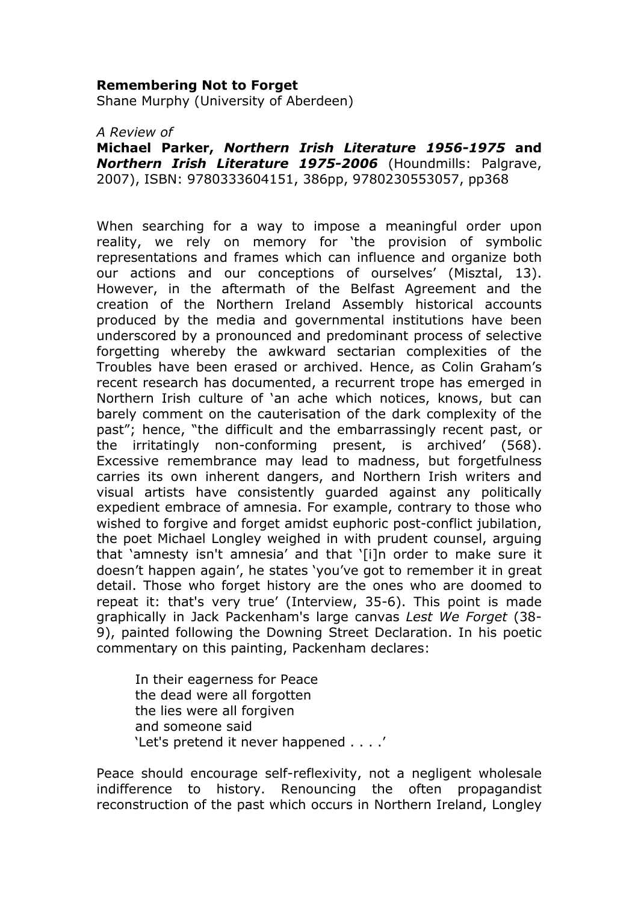## Remembering Not to Forget

Shane Murphy (University of Aberdeen)

A Review of

Michael Parker, Northern Irish Literature 1956-1975 and Northern Irish Literature 1975-2006 (Houndmills: Palgrave, 2007), ISBN: 9780333604151, 386pp, 9780230553057, pp368

When searching for a way to impose a meaningful order upon reality, we rely on memory for 'the provision of symbolic representations and frames which can influence and organize both our actions and our conceptions of ourselves' (Misztal, 13). However, in the aftermath of the Belfast Agreement and the creation of the Northern Ireland Assembly historical accounts produced by the media and governmental institutions have been underscored by a pronounced and predominant process of selective forgetting whereby the awkward sectarian complexities of the Troubles have been erased or archived. Hence, as Colin Graham's recent research has documented, a recurrent trope has emerged in Northern Irish culture of 'an ache which notices, knows, but can barely comment on the cauterisation of the dark complexity of the past"; hence, "the difficult and the embarrassingly recent past, or the irritatingly non-conforming present, is archived' (568). Excessive remembrance may lead to madness, but forgetfulness carries its own inherent dangers, and Northern Irish writers and visual artists have consistently guarded against any politically expedient embrace of amnesia. For example, contrary to those who wished to forgive and forget amidst euphoric post-conflict jubilation, the poet Michael Longley weighed in with prudent counsel, arguing that 'amnesty isn't amnesia' and that '[i]n order to make sure it doesn't happen again', he states 'you've got to remember it in great detail. Those who forget history are the ones who are doomed to repeat it: that's very true' (Interview, 35-6). This point is made graphically in Jack Packenham's large canvas Lest We Forget (38- 9), painted following the Downing Street Declaration. In his poetic commentary on this painting, Packenham declares:

 In their eagerness for Peace the dead were all forgotten the lies were all forgiven and someone said 'Let's pretend it never happened . . . .'

Peace should encourage self-reflexivity, not a negligent wholesale indifference to history. Renouncing the often propagandist reconstruction of the past which occurs in Northern Ireland, Longley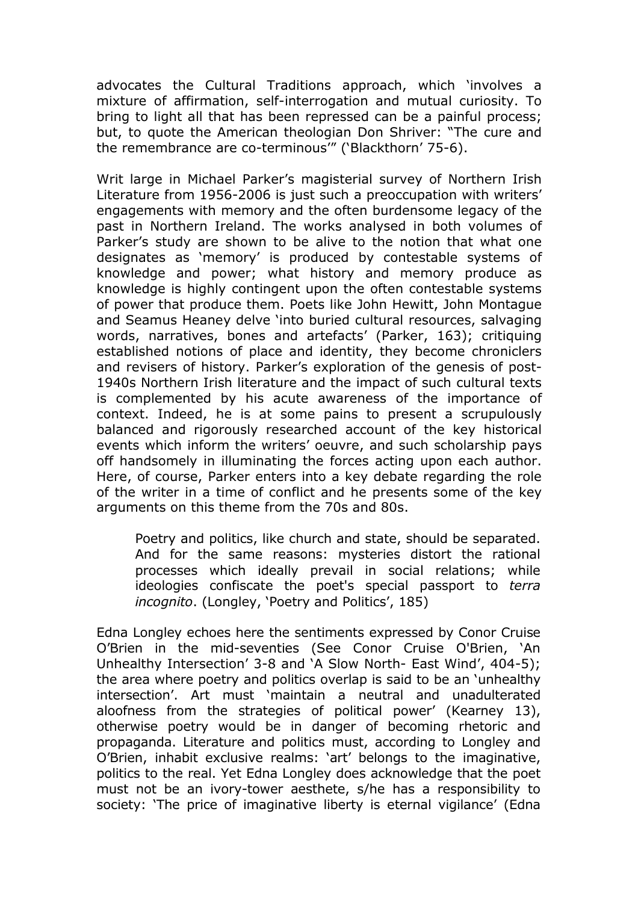advocates the Cultural Traditions approach, which 'involves a mixture of affirmation, self-interrogation and mutual curiosity. To bring to light all that has been repressed can be a painful process; but, to quote the American theologian Don Shriver: "The cure and the remembrance are co-terminous'" ('Blackthorn' 75-6).

Writ large in Michael Parker's magisterial survey of Northern Irish Literature from 1956-2006 is just such a preoccupation with writers' engagements with memory and the often burdensome legacy of the past in Northern Ireland. The works analysed in both volumes of Parker's study are shown to be alive to the notion that what one designates as 'memory' is produced by contestable systems of knowledge and power; what history and memory produce as knowledge is highly contingent upon the often contestable systems of power that produce them. Poets like John Hewitt, John Montague and Seamus Heaney delve 'into buried cultural resources, salvaging words, narratives, bones and artefacts' (Parker, 163); critiquing established notions of place and identity, they become chroniclers and revisers of history. Parker's exploration of the genesis of post-1940s Northern Irish literature and the impact of such cultural texts is complemented by his acute awareness of the importance of context. Indeed, he is at some pains to present a scrupulously balanced and rigorously researched account of the key historical events which inform the writers' oeuvre, and such scholarship pays off handsomely in illuminating the forces acting upon each author. Here, of course, Parker enters into a key debate regarding the role of the writer in a time of conflict and he presents some of the key arguments on this theme from the 70s and 80s.

Poetry and politics, like church and state, should be separated. And for the same reasons: mysteries distort the rational processes which ideally prevail in social relations; while ideologies confiscate the poet's special passport to terra incognito. (Longley, 'Poetry and Politics', 185)

Edna Longley echoes here the sentiments expressed by Conor Cruise O'Brien in the mid-seventies (See Conor Cruise O'Brien, 'An Unhealthy Intersection' 3-8 and 'A Slow North- East Wind', 404-5); the area where poetry and politics overlap is said to be an 'unhealthy intersection'. Art must 'maintain a neutral and unadulterated aloofness from the strategies of political power' (Kearney 13), otherwise poetry would be in danger of becoming rhetoric and propaganda. Literature and politics must, according to Longley and O'Brien, inhabit exclusive realms: 'art' belongs to the imaginative, politics to the real. Yet Edna Longley does acknowledge that the poet must not be an ivory-tower aesthete, s/he has a responsibility to society: 'The price of imaginative liberty is eternal vigilance' (Edna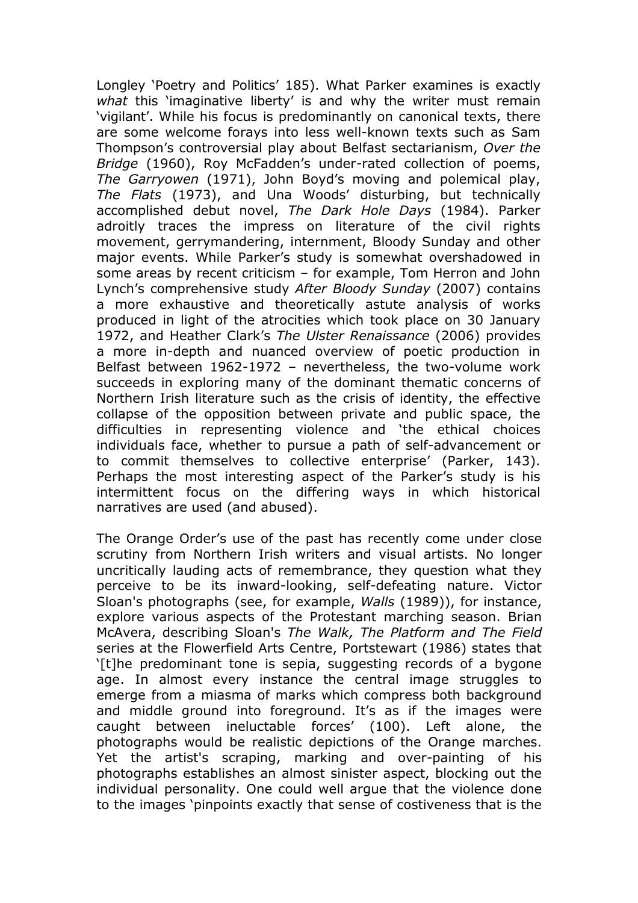Longley 'Poetry and Politics' 185). What Parker examines is exactly what this 'imaginative liberty' is and why the writer must remain 'vigilant'. While his focus is predominantly on canonical texts, there are some welcome forays into less well-known texts such as Sam Thompson's controversial play about Belfast sectarianism, Over the Bridge (1960), Roy McFadden's under-rated collection of poems, The Garryowen (1971), John Boyd's moving and polemical play, The Flats (1973), and Una Woods' disturbing, but technically accomplished debut novel, The Dark Hole Days (1984). Parker adroitly traces the impress on literature of the civil rights movement, gerrymandering, internment, Bloody Sunday and other major events. While Parker's study is somewhat overshadowed in some areas by recent criticism – for example, Tom Herron and John Lynch's comprehensive study After Bloody Sunday (2007) contains a more exhaustive and theoretically astute analysis of works produced in light of the atrocities which took place on 30 January 1972, and Heather Clark's The Ulster Renaissance (2006) provides a more in-depth and nuanced overview of poetic production in Belfast between 1962-1972 – nevertheless, the two-volume work succeeds in exploring many of the dominant thematic concerns of Northern Irish literature such as the crisis of identity, the effective collapse of the opposition between private and public space, the difficulties in representing violence and 'the ethical choices individuals face, whether to pursue a path of self-advancement or to commit themselves to collective enterprise' (Parker, 143). Perhaps the most interesting aspect of the Parker's study is his intermittent focus on the differing ways in which historical narratives are used (and abused).

The Orange Order's use of the past has recently come under close scrutiny from Northern Irish writers and visual artists. No longer uncritically lauding acts of remembrance, they question what they perceive to be its inward-looking, self-defeating nature. Victor Sloan's photographs (see, for example, Walls (1989)), for instance, explore various aspects of the Protestant marching season. Brian McAvera, describing Sloan's The Walk, The Platform and The Field series at the Flowerfield Arts Centre, Portstewart (1986) states that '[t]he predominant tone is sepia, suggesting records of a bygone age. In almost every instance the central image struggles to emerge from a miasma of marks which compress both background and middle ground into foreground. It's as if the images were caught between ineluctable forces' (100). Left alone, the photographs would be realistic depictions of the Orange marches. Yet the artist's scraping, marking and over-painting of his photographs establishes an almost sinister aspect, blocking out the individual personality. One could well argue that the violence done to the images 'pinpoints exactly that sense of costiveness that is the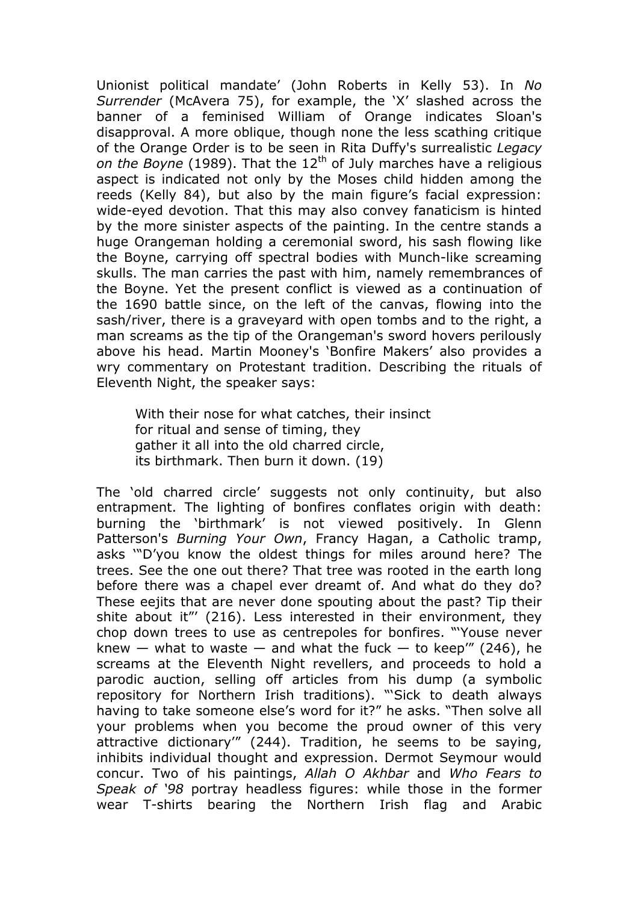Unionist political mandate' (John Roberts in Kelly 53). In No Surrender (McAvera 75), for example, the 'X' slashed across the banner of a feminised William of Orange indicates Sloan's disapproval. A more oblique, though none the less scathing critique of the Orange Order is to be seen in Rita Duffy's surrealistic Legacy on the Boyne (1989). That the  $12<sup>th</sup>$  of July marches have a religious aspect is indicated not only by the Moses child hidden among the reeds (Kelly 84), but also by the main figure's facial expression: wide-eyed devotion. That this may also convey fanaticism is hinted by the more sinister aspects of the painting. In the centre stands a huge Orangeman holding a ceremonial sword, his sash flowing like the Boyne, carrying off spectral bodies with Munch-like screaming skulls. The man carries the past with him, namely remembrances of the Boyne. Yet the present conflict is viewed as a continuation of the 1690 battle since, on the left of the canvas, flowing into the sash/river, there is a graveyard with open tombs and to the right, a man screams as the tip of the Orangeman's sword hovers perilously above his head. Martin Mooney's 'Bonfire Makers' also provides a wry commentary on Protestant tradition. Describing the rituals of Eleventh Night, the speaker says:

 With their nose for what catches, their insinct for ritual and sense of timing, they gather it all into the old charred circle, its birthmark. Then burn it down. (19)

The 'old charred circle' suggests not only continuity, but also entrapment. The lighting of bonfires conflates origin with death: burning the 'birthmark' is not viewed positively. In Glenn Patterson's Burning Your Own, Francy Hagan, a Catholic tramp, asks '"D'you know the oldest things for miles around here? The trees. See the one out there? That tree was rooted in the earth long before there was a chapel ever dreamt of. And what do they do? These eejits that are never done spouting about the past? Tip their shite about it"' (216). Less interested in their environment, they chop down trees to use as centrepoles for bonfires. "'Youse never knew  $-$  what to waste  $-$  and what the fuck  $-$  to keep" (246), he screams at the Eleventh Night revellers, and proceeds to hold a parodic auction, selling off articles from his dump (a symbolic repository for Northern Irish traditions). "'Sick to death always having to take someone else's word for it?" he asks. "Then solve all your problems when you become the proud owner of this very attractive dictionary'" (244). Tradition, he seems to be saying, inhibits individual thought and expression. Dermot Seymour would concur. Two of his paintings, Allah O Akhbar and Who Fears to Speak of '98 portray headless figures: while those in the former wear T-shirts bearing the Northern Irish flag and Arabic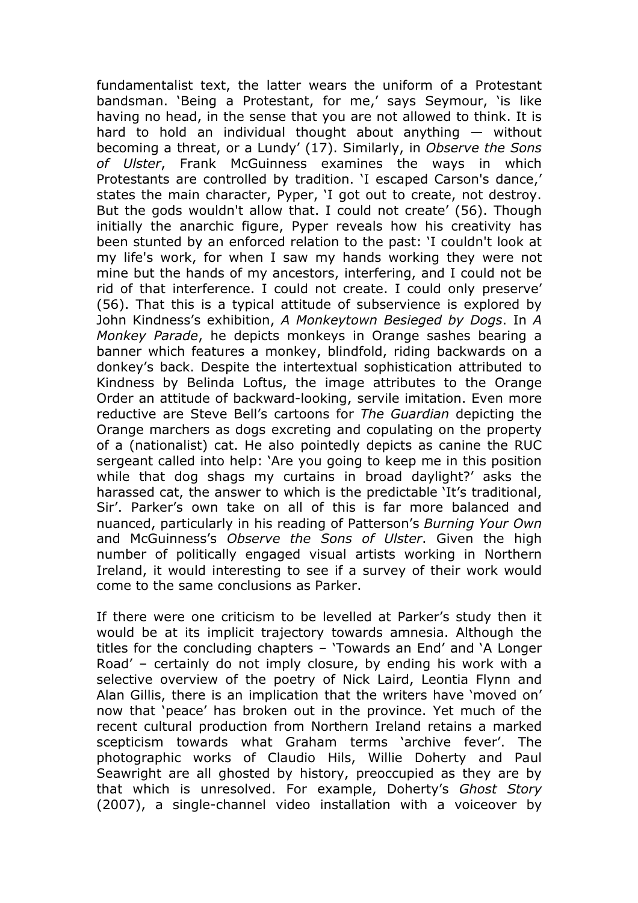fundamentalist text, the latter wears the uniform of a Protestant bandsman. 'Being a Protestant, for me,' says Seymour, 'is like having no head, in the sense that you are not allowed to think. It is hard to hold an individual thought about anything — without becoming a threat, or a Lundy' (17). Similarly, in Observe the Sons of Ulster, Frank McGuinness examines the ways in which Protestants are controlled by tradition. 'I escaped Carson's dance,' states the main character, Pyper, 'I got out to create, not destroy. But the gods wouldn't allow that. I could not create' (56). Though initially the anarchic figure, Pyper reveals how his creativity has been stunted by an enforced relation to the past: 'I couldn't look at my life's work, for when I saw my hands working they were not mine but the hands of my ancestors, interfering, and I could not be rid of that interference. I could not create. I could only preserve' (56). That this is a typical attitude of subservience is explored by John Kindness's exhibition, A Monkeytown Besieged by Dogs. In A Monkey Parade, he depicts monkeys in Orange sashes bearing a banner which features a monkey, blindfold, riding backwards on a donkey's back. Despite the intertextual sophistication attributed to Kindness by Belinda Loftus, the image attributes to the Orange Order an attitude of backward-looking, servile imitation. Even more reductive are Steve Bell's cartoons for The Guardian depicting the Orange marchers as dogs excreting and copulating on the property of a (nationalist) cat. He also pointedly depicts as canine the RUC sergeant called into help: 'Are you going to keep me in this position while that dog shags my curtains in broad daylight?' asks the harassed cat, the answer to which is the predictable 'It's traditional, Sir'. Parker's own take on all of this is far more balanced and nuanced, particularly in his reading of Patterson's Burning Your Own and McGuinness's Observe the Sons of Ulster. Given the high number of politically engaged visual artists working in Northern Ireland, it would interesting to see if a survey of their work would come to the same conclusions as Parker.

If there were one criticism to be levelled at Parker's study then it would be at its implicit trajectory towards amnesia. Although the titles for the concluding chapters – 'Towards an End' and 'A Longer Road' – certainly do not imply closure, by ending his work with a selective overview of the poetry of Nick Laird, Leontia Flynn and Alan Gillis, there is an implication that the writers have 'moved on' now that 'peace' has broken out in the province. Yet much of the recent cultural production from Northern Ireland retains a marked scepticism towards what Graham terms 'archive fever'. The photographic works of Claudio Hils, Willie Doherty and Paul Seawright are all ghosted by history, preoccupied as they are by that which is unresolved. For example, Doherty's Ghost Story (2007), a single-channel video installation with a voiceover by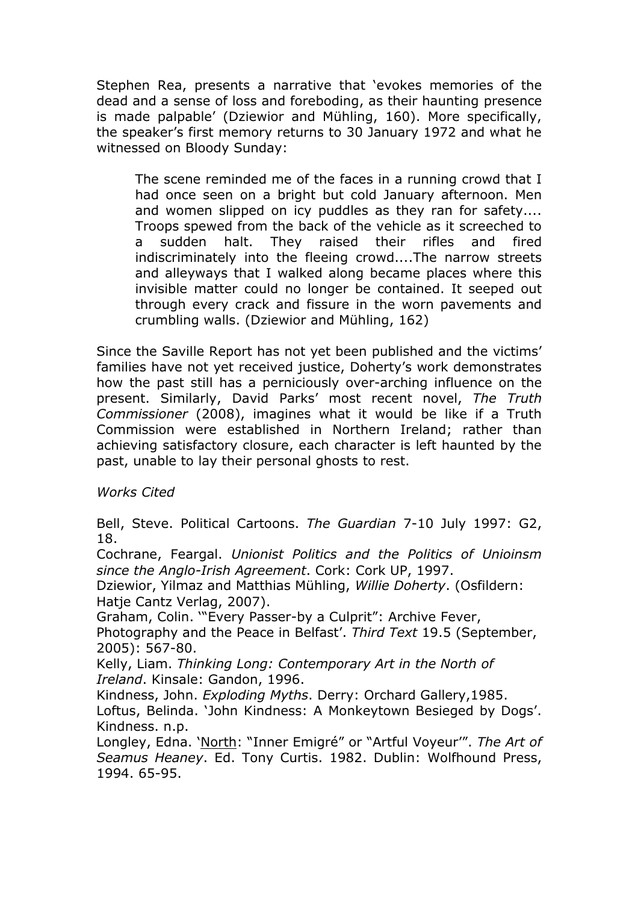Stephen Rea, presents a narrative that 'evokes memories of the dead and a sense of loss and foreboding, as their haunting presence is made palpable' (Dziewior and Mühling, 160). More specifically, the speaker's first memory returns to 30 January 1972 and what he witnessed on Bloody Sunday:

The scene reminded me of the faces in a running crowd that I had once seen on a bright but cold January afternoon. Men and women slipped on icy puddles as they ran for safety.... Troops spewed from the back of the vehicle as it screeched to a sudden halt. They raised their rifles and fired indiscriminately into the fleeing crowd....The narrow streets and alleyways that I walked along became places where this invisible matter could no longer be contained. It seeped out through every crack and fissure in the worn pavements and crumbling walls. (Dziewior and Mühling, 162)

Since the Saville Report has not yet been published and the victims' families have not yet received justice, Doherty's work demonstrates how the past still has a perniciously over-arching influence on the present. Similarly, David Parks' most recent novel, The Truth Commissioner (2008), imagines what it would be like if a Truth Commission were established in Northern Ireland; rather than achieving satisfactory closure, each character is left haunted by the past, unable to lay their personal ghosts to rest.

Works Cited

Bell, Steve. Political Cartoons. The Guardian 7-10 July 1997: G2, 18.

Cochrane, Feargal. Unionist Politics and the Politics of Unioinsm since the Anglo-Irish Agreement. Cork: Cork UP, 1997.

Dziewior, Yilmaz and Matthias Mühling, Willie Doherty. (Osfildern: Hatje Cantz Verlag, 2007).

Graham, Colin. '"Every Passer-by a Culprit": Archive Fever,

Photography and the Peace in Belfast'. Third Text 19.5 (September, 2005): 567-80.

Kelly, Liam. Thinking Long: Contemporary Art in the North of Ireland. Kinsale: Gandon, 1996.

Kindness, John. Exploding Myths. Derry: Orchard Gallery,1985. Loftus, Belinda. 'John Kindness: A Monkeytown Besieged by Dogs'. Kindness. n.p.

Longley, Edna. 'North: "Inner Emigré" or "Artful Voyeur'". The Art of Seamus Heaney. Ed. Tony Curtis. 1982. Dublin: Wolfhound Press, 1994. 65-95.